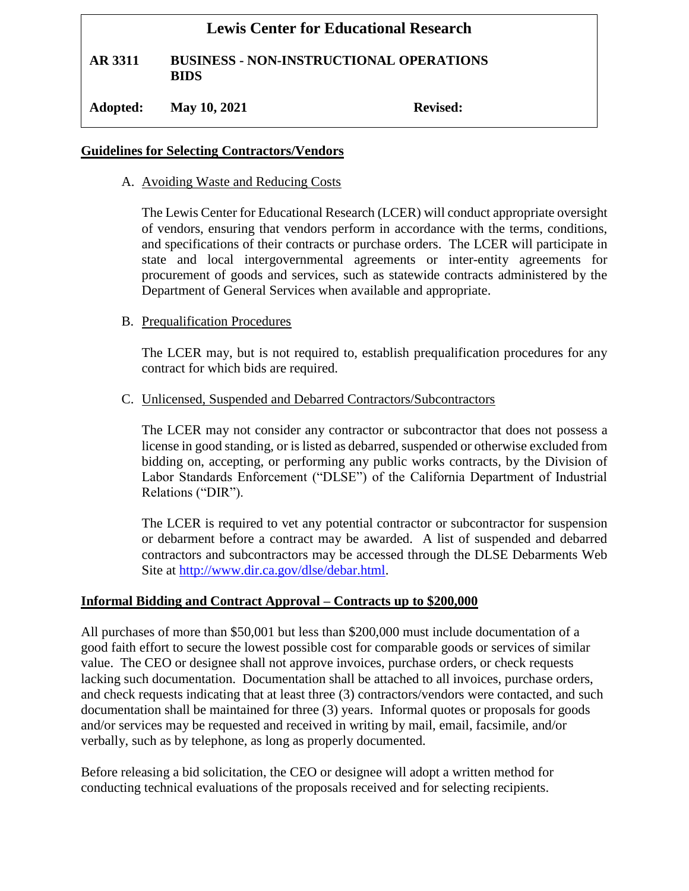# **Lewis Center for Educational Research**

**AR 3311 BUSINESS - NON-INSTRUCTIONAL OPERATIONS BIDS**

**Adopted: May 10, 2021 Revised:**

### **Guidelines for Selecting Contractors/Vendors**

A. Avoiding Waste and Reducing Costs

The Lewis Center for Educational Research (LCER) will conduct appropriate oversight of vendors, ensuring that vendors perform in accordance with the terms, conditions, and specifications of their contracts or purchase orders. The LCER will participate in state and local intergovernmental agreements or inter-entity agreements for procurement of goods and services, such as statewide contracts administered by the Department of General Services when available and appropriate.

### B. Prequalification Procedures

The LCER may, but is not required to, establish prequalification procedures for any contract for which bids are required.

#### C. Unlicensed, Suspended and Debarred Contractors/Subcontractors

The LCER may not consider any contractor or subcontractor that does not possess a license in good standing, or is listed as debarred, suspended or otherwise excluded from bidding on, accepting, or performing any public works contracts, by the Division of Labor Standards Enforcement ("DLSE") of the California Department of Industrial Relations ("DIR").

The LCER is required to vet any potential contractor or subcontractor for suspension or debarment before a contract may be awarded. A list of suspended and debarred contractors and subcontractors may be accessed through the DLSE Debarments Web Site at [http://www.dir.ca.gov/dlse/debar.html.](http://www.dir.ca.gov/dlse/debar.html)

#### **Informal Bidding and Contract Approval – Contracts up to \$200,000**

All purchases of more than \$50,001 but less than \$200,000 must include documentation of a good faith effort to secure the lowest possible cost for comparable goods or services of similar value. The CEO or designee shall not approve invoices, purchase orders, or check requests lacking such documentation. Documentation shall be attached to all invoices, purchase orders, and check requests indicating that at least three (3) contractors/vendors were contacted, and such documentation shall be maintained for three (3) years. Informal quotes or proposals for goods and/or services may be requested and received in writing by mail, email, facsimile, and/or verbally, such as by telephone, as long as properly documented.

Before releasing a bid solicitation, the CEO or designee will adopt a written method for conducting technical evaluations of the proposals received and for selecting recipients.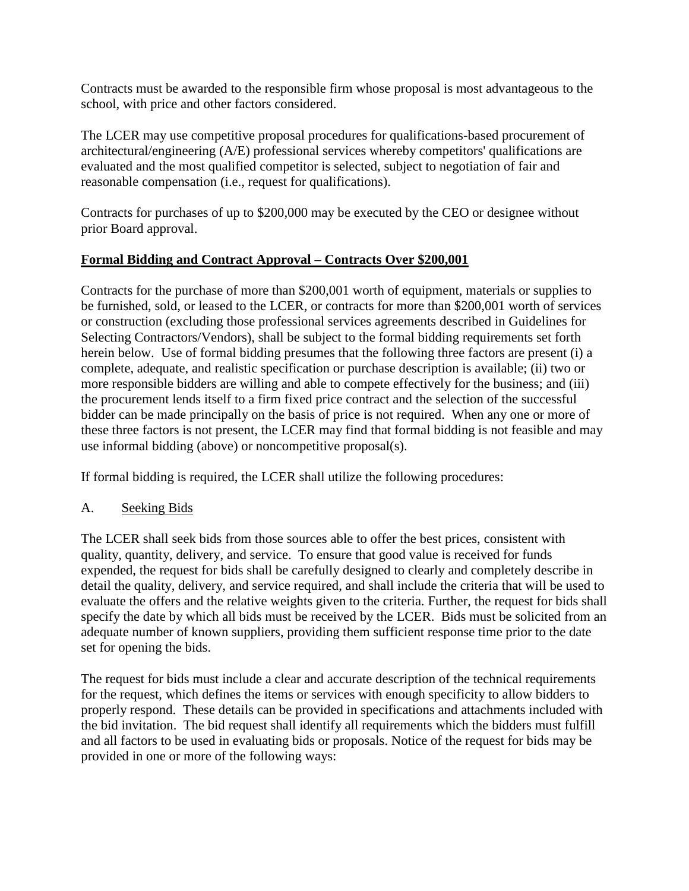Contracts must be awarded to the responsible firm whose proposal is most advantageous to the school, with price and other factors considered.

The LCER may use competitive proposal procedures for qualifications-based procurement of architectural/engineering (A/E) professional services whereby competitors' qualifications are evaluated and the most qualified competitor is selected, subject to negotiation of fair and reasonable compensation (i.e., request for qualifications).

Contracts for purchases of up to \$200,000 may be executed by the CEO or designee without prior Board approval.

## **Formal Bidding and Contract Approval – Contracts Over \$200,001**

Contracts for the purchase of more than \$200,001 worth of equipment, materials or supplies to be furnished, sold, or leased to the LCER, or contracts for more than \$200,001 worth of services or construction (excluding those professional services agreements described in Guidelines for Selecting Contractors/Vendors), shall be subject to the formal bidding requirements set forth herein below. Use of formal bidding presumes that the following three factors are present (i) a complete, adequate, and realistic specification or purchase description is available; (ii) two or more responsible bidders are willing and able to compete effectively for the business; and (iii) the procurement lends itself to a firm fixed price contract and the selection of the successful bidder can be made principally on the basis of price is not required. When any one or more of these three factors is not present, the LCER may find that formal bidding is not feasible and may use informal bidding (above) or noncompetitive proposal(s).

If formal bidding is required, the LCER shall utilize the following procedures:

## A. Seeking Bids

The LCER shall seek bids from those sources able to offer the best prices, consistent with quality, quantity, delivery, and service. To ensure that good value is received for funds expended, the request for bids shall be carefully designed to clearly and completely describe in detail the quality, delivery, and service required, and shall include the criteria that will be used to evaluate the offers and the relative weights given to the criteria. Further, the request for bids shall specify the date by which all bids must be received by the LCER. Bids must be solicited from an adequate number of known suppliers, providing them sufficient response time prior to the date set for opening the bids.

The request for bids must include a clear and accurate description of the technical requirements for the request, which defines the items or services with enough specificity to allow bidders to properly respond. These details can be provided in specifications and attachments included with the bid invitation. The bid request shall identify all requirements which the bidders must fulfill and all factors to be used in evaluating bids or proposals. Notice of the request for bids may be provided in one or more of the following ways: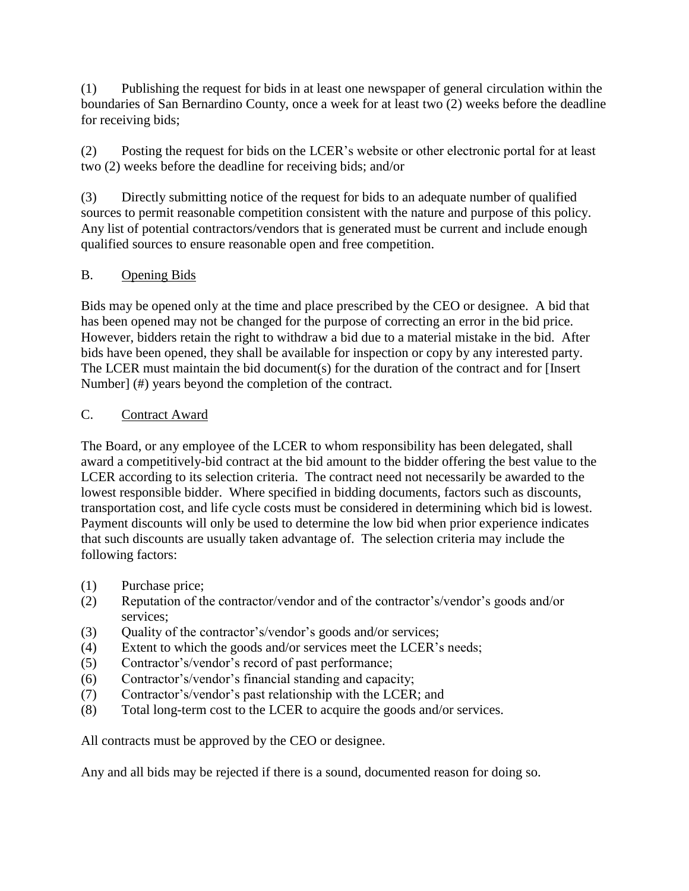(1) Publishing the request for bids in at least one newspaper of general circulation within the boundaries of San Bernardino County, once a week for at least two (2) weeks before the deadline for receiving bids;

(2) Posting the request for bids on the LCER's website or other electronic portal for at least two (2) weeks before the deadline for receiving bids; and/or

(3) Directly submitting notice of the request for bids to an adequate number of qualified sources to permit reasonable competition consistent with the nature and purpose of this policy. Any list of potential contractors/vendors that is generated must be current and include enough qualified sources to ensure reasonable open and free competition.

### B. Opening Bids

Bids may be opened only at the time and place prescribed by the CEO or designee. A bid that has been opened may not be changed for the purpose of correcting an error in the bid price. However, bidders retain the right to withdraw a bid due to a material mistake in the bid. After bids have been opened, they shall be available for inspection or copy by any interested party. The LCER must maintain the bid document(s) for the duration of the contract and for [Insert Number] (#) years beyond the completion of the contract.

### C. Contract Award

The Board, or any employee of the LCER to whom responsibility has been delegated, shall award a competitively-bid contract at the bid amount to the bidder offering the best value to the LCER according to its selection criteria. The contract need not necessarily be awarded to the lowest responsible bidder. Where specified in bidding documents, factors such as discounts, transportation cost, and life cycle costs must be considered in determining which bid is lowest. Payment discounts will only be used to determine the low bid when prior experience indicates that such discounts are usually taken advantage of. The selection criteria may include the following factors:

- (1) Purchase price;
- (2) Reputation of the contractor/vendor and of the contractor's/vendor's goods and/or services;
- (3) Quality of the contractor's/vendor's goods and/or services;
- (4) Extent to which the goods and/or services meet the LCER's needs;
- (5) Contractor's/vendor's record of past performance;
- (6) Contractor's/vendor's financial standing and capacity;
- (7) Contractor's/vendor's past relationship with the LCER; and
- (8) Total long-term cost to the LCER to acquire the goods and/or services.

All contracts must be approved by the CEO or designee.

Any and all bids may be rejected if there is a sound, documented reason for doing so.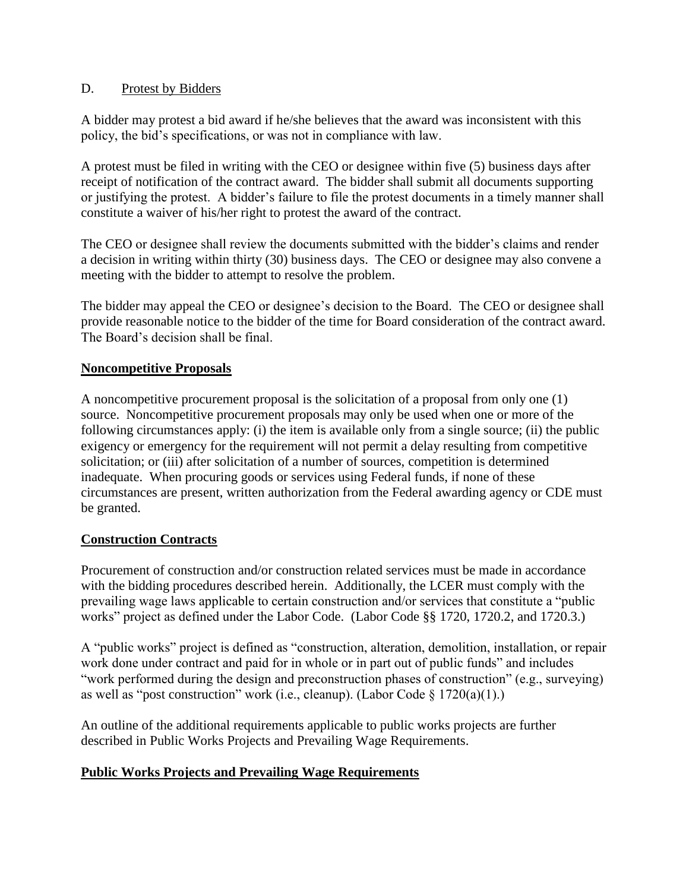#### D. Protest by Bidders

A bidder may protest a bid award if he/she believes that the award was inconsistent with this policy, the bid's specifications, or was not in compliance with law.

A protest must be filed in writing with the CEO or designee within five (5) business days after receipt of notification of the contract award. The bidder shall submit all documents supporting or justifying the protest. A bidder's failure to file the protest documents in a timely manner shall constitute a waiver of his/her right to protest the award of the contract.

The CEO or designee shall review the documents submitted with the bidder's claims and render a decision in writing within thirty (30) business days. The CEO or designee may also convene a meeting with the bidder to attempt to resolve the problem.

The bidder may appeal the CEO or designee's decision to the Board. The CEO or designee shall provide reasonable notice to the bidder of the time for Board consideration of the contract award. The Board's decision shall be final.

### **Noncompetitive Proposals**

A noncompetitive procurement proposal is the solicitation of a proposal from only one (1) source. Noncompetitive procurement proposals may only be used when one or more of the following circumstances apply: (i) the item is available only from a single source; (ii) the public exigency or emergency for the requirement will not permit a delay resulting from competitive solicitation; or (iii) after solicitation of a number of sources, competition is determined inadequate. When procuring goods or services using Federal funds, if none of these circumstances are present, written authorization from the Federal awarding agency or CDE must be granted.

### **Construction Contracts**

Procurement of construction and/or construction related services must be made in accordance with the bidding procedures described herein. Additionally, the LCER must comply with the prevailing wage laws applicable to certain construction and/or services that constitute a "public works" project as defined under the Labor Code. (Labor Code §§ 1720, 1720.2, and 1720.3.)

A "public works" project is defined as "construction, alteration, demolition, installation, or repair work done under contract and paid for in whole or in part out of public funds" and includes "work performed during the design and preconstruction phases of construction" (e.g., surveying) as well as "post construction" work (i.e., cleanup). (Labor Code § 1720(a)(1).)

An outline of the additional requirements applicable to public works projects are further described in Public Works Projects and Prevailing Wage Requirements.

### **Public Works Projects and Prevailing Wage Requirements**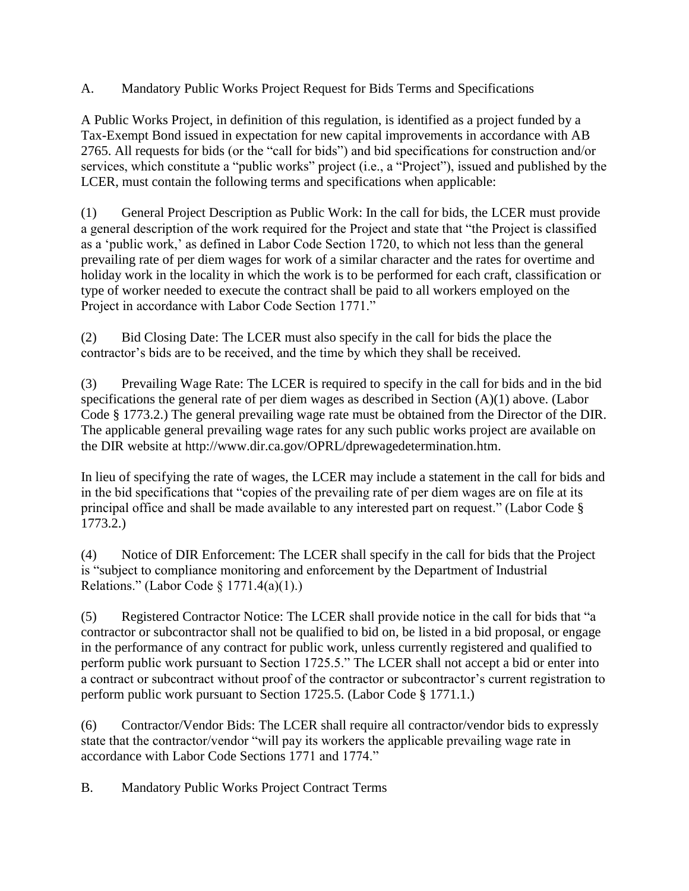A. Mandatory Public Works Project Request for Bids Terms and Specifications

A Public Works Project, in definition of this regulation, is identified as a project funded by a Tax-Exempt Bond issued in expectation for new capital improvements in accordance with AB 2765. All requests for bids (or the "call for bids") and bid specifications for construction and/or services, which constitute a "public works" project (i.e., a "Project"), issued and published by the LCER, must contain the following terms and specifications when applicable:

(1) General Project Description as Public Work: In the call for bids, the LCER must provide a general description of the work required for the Project and state that "the Project is classified as a 'public work,' as defined in Labor Code Section 1720, to which not less than the general prevailing rate of per diem wages for work of a similar character and the rates for overtime and holiday work in the locality in which the work is to be performed for each craft, classification or type of worker needed to execute the contract shall be paid to all workers employed on the Project in accordance with Labor Code Section 1771."

(2) Bid Closing Date: The LCER must also specify in the call for bids the place the contractor's bids are to be received, and the time by which they shall be received.

(3) Prevailing Wage Rate: The LCER is required to specify in the call for bids and in the bid specifications the general rate of per diem wages as described in Section (A)(1) above. (Labor Code § 1773.2.) The general prevailing wage rate must be obtained from the Director of the DIR. The applicable general prevailing wage rates for any such public works project are available on the DIR website at http://www.dir.ca.gov/OPRL/dprewagedetermination.htm.

In lieu of specifying the rate of wages, the LCER may include a statement in the call for bids and in the bid specifications that "copies of the prevailing rate of per diem wages are on file at its principal office and shall be made available to any interested part on request." (Labor Code § 1773.2.)

(4) Notice of DIR Enforcement: The LCER shall specify in the call for bids that the Project is "subject to compliance monitoring and enforcement by the Department of Industrial Relations." (Labor Code  $\S$  1771.4(a)(1).)

(5) Registered Contractor Notice: The LCER shall provide notice in the call for bids that "a contractor or subcontractor shall not be qualified to bid on, be listed in a bid proposal, or engage in the performance of any contract for public work, unless currently registered and qualified to perform public work pursuant to Section 1725.5." The LCER shall not accept a bid or enter into a contract or subcontract without proof of the contractor or subcontractor's current registration to perform public work pursuant to Section 1725.5. (Labor Code § 1771.1.)

(6) Contractor/Vendor Bids: The LCER shall require all contractor/vendor bids to expressly state that the contractor/vendor "will pay its workers the applicable prevailing wage rate in accordance with Labor Code Sections 1771 and 1774."

B. Mandatory Public Works Project Contract Terms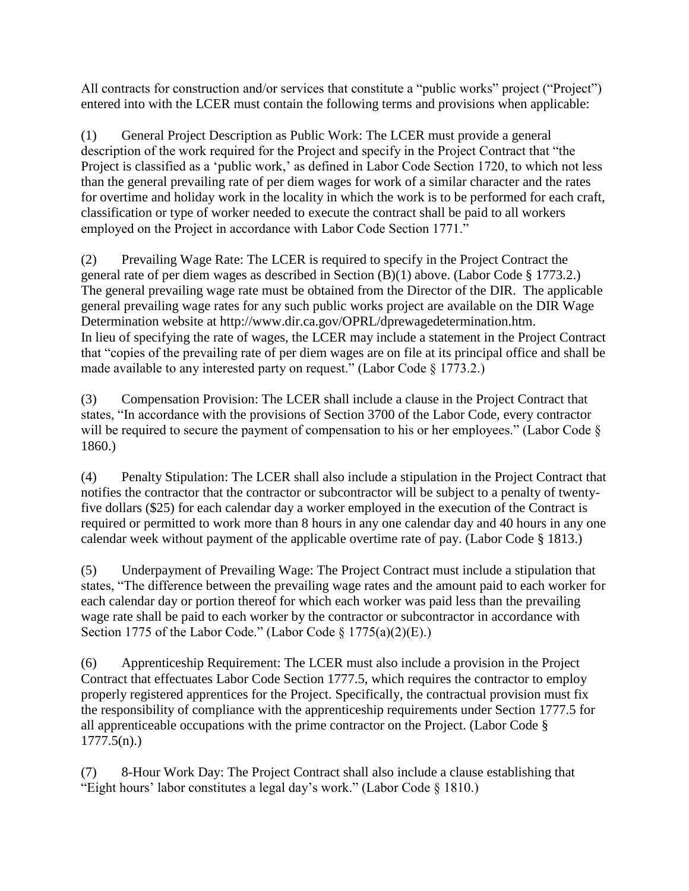All contracts for construction and/or services that constitute a "public works" project ("Project") entered into with the LCER must contain the following terms and provisions when applicable:

(1) General Project Description as Public Work: The LCER must provide a general description of the work required for the Project and specify in the Project Contract that "the Project is classified as a 'public work,' as defined in Labor Code Section 1720, to which not less than the general prevailing rate of per diem wages for work of a similar character and the rates for overtime and holiday work in the locality in which the work is to be performed for each craft, classification or type of worker needed to execute the contract shall be paid to all workers employed on the Project in accordance with Labor Code Section 1771."

(2) Prevailing Wage Rate: The LCER is required to specify in the Project Contract the general rate of per diem wages as described in Section (B)(1) above. (Labor Code § 1773.2.) The general prevailing wage rate must be obtained from the Director of the DIR. The applicable general prevailing wage rates for any such public works project are available on the DIR Wage Determination website at http://www.dir.ca.gov/OPRL/dprewagedetermination.htm. In lieu of specifying the rate of wages, the LCER may include a statement in the Project Contract that "copies of the prevailing rate of per diem wages are on file at its principal office and shall be made available to any interested party on request." (Labor Code § 1773.2.)

(3) Compensation Provision: The LCER shall include a clause in the Project Contract that states, "In accordance with the provisions of Section 3700 of the Labor Code, every contractor will be required to secure the payment of compensation to his or her employees." (Labor Code  $\delta$ ) 1860.)

(4) Penalty Stipulation: The LCER shall also include a stipulation in the Project Contract that notifies the contractor that the contractor or subcontractor will be subject to a penalty of twentyfive dollars (\$25) for each calendar day a worker employed in the execution of the Contract is required or permitted to work more than 8 hours in any one calendar day and 40 hours in any one calendar week without payment of the applicable overtime rate of pay. (Labor Code § 1813.)

(5) Underpayment of Prevailing Wage: The Project Contract must include a stipulation that states, "The difference between the prevailing wage rates and the amount paid to each worker for each calendar day or portion thereof for which each worker was paid less than the prevailing wage rate shall be paid to each worker by the contractor or subcontractor in accordance with Section 1775 of the Labor Code." (Labor Code  $\S$  1775(a)(2)(E).)

(6) Apprenticeship Requirement: The LCER must also include a provision in the Project Contract that effectuates Labor Code Section 1777.5, which requires the contractor to employ properly registered apprentices for the Project. Specifically, the contractual provision must fix the responsibility of compliance with the apprenticeship requirements under Section 1777.5 for all apprenticeable occupations with the prime contractor on the Project. (Labor Code §  $1777.5(n)$ .)

(7) 8-Hour Work Day: The Project Contract shall also include a clause establishing that "Eight hours' labor constitutes a legal day's work." (Labor Code § 1810.)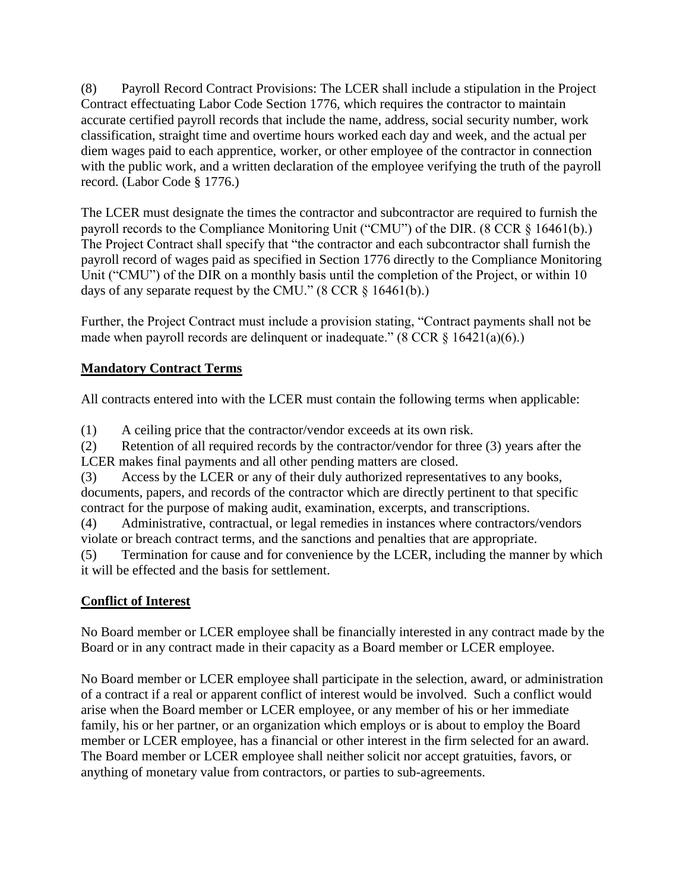(8) Payroll Record Contract Provisions: The LCER shall include a stipulation in the Project Contract effectuating Labor Code Section 1776, which requires the contractor to maintain accurate certified payroll records that include the name, address, social security number, work classification, straight time and overtime hours worked each day and week, and the actual per diem wages paid to each apprentice, worker, or other employee of the contractor in connection with the public work, and a written declaration of the employee verifying the truth of the payroll record. (Labor Code § 1776.)

The LCER must designate the times the contractor and subcontractor are required to furnish the payroll records to the Compliance Monitoring Unit ("CMU") of the DIR. (8 CCR § 16461(b).) The Project Contract shall specify that "the contractor and each subcontractor shall furnish the payroll record of wages paid as specified in Section 1776 directly to the Compliance Monitoring Unit ("CMU") of the DIR on a monthly basis until the completion of the Project, or within 10 days of any separate request by the CMU." (8 CCR § 16461(b).)

Further, the Project Contract must include a provision stating, "Contract payments shall not be made when payroll records are delinguent or inadequate." (8 CCR  $\S$  16421(a)(6).)

### **Mandatory Contract Terms**

All contracts entered into with the LCER must contain the following terms when applicable:

(1) A ceiling price that the contractor/vendor exceeds at its own risk.

(2) Retention of all required records by the contractor/vendor for three (3) years after the LCER makes final payments and all other pending matters are closed.

(3) Access by the LCER or any of their duly authorized representatives to any books, documents, papers, and records of the contractor which are directly pertinent to that specific contract for the purpose of making audit, examination, excerpts, and transcriptions.

(4) Administrative, contractual, or legal remedies in instances where contractors/vendors violate or breach contract terms, and the sanctions and penalties that are appropriate.

(5) Termination for cause and for convenience by the LCER, including the manner by which it will be effected and the basis for settlement.

## **Conflict of Interest**

No Board member or LCER employee shall be financially interested in any contract made by the Board or in any contract made in their capacity as a Board member or LCER employee.

No Board member or LCER employee shall participate in the selection, award, or administration of a contract if a real or apparent conflict of interest would be involved. Such a conflict would arise when the Board member or LCER employee, or any member of his or her immediate family, his or her partner, or an organization which employs or is about to employ the Board member or LCER employee, has a financial or other interest in the firm selected for an award. The Board member or LCER employee shall neither solicit nor accept gratuities, favors, or anything of monetary value from contractors, or parties to sub-agreements.